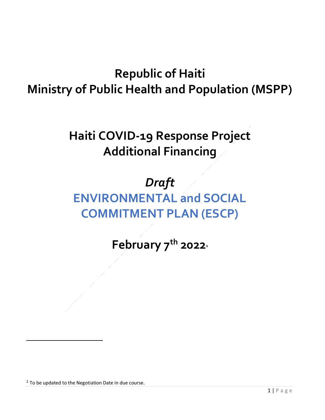## **Republic of Haiti Ministry of Public Health and Population (MSPP)**

**Haiti COVID-19 Response Project Additional Financing** 

## *Draft*

## **ENVIRONMENTAL and SOCIAL COMMITMENT PLAN (ESCP)**

**February 7th 2022<sup>1</sup>**

 $1$  To be updated to the Negotiation Date in due course.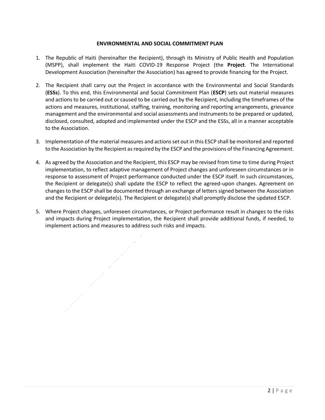## **ENVIRONMENTAL AND SOCIAL COMMITMENT PLAN**

- 1. The Republic of Haiti (hereinafter the Recipient), through its Ministry of Public Health and Population (MSPP), shall implement the Haiti COVID-19 Response Project (the **Project**. The International Development Association (hereinafter the Association) has agreed to provide financing for the Project.
- 2. The Recipient shall carry out the Project in accordance with the Environmental and Social Standards (**ESSs**). To this end, this Environmental and Social Commitment Plan (**ESCP**) sets out material measures and actions to be carried out or caused to be carried out by the Recipient, including the timeframes of the actions and measures, institutional, staffing, training, monitoring and reporting arrangements, grievance management and the environmental and social assessments and instruments to be prepared or updated, disclosed, consulted, adopted and implemented under the ESCP and the ESSs, all in a manner acceptable to the Association.
- 3. Implementation of the material measures and actions set out in this ESCP shall be monitored and reported to the Association by the Recipient as required by the ESCP and the provisions of the Financing Agreement.
- 4. As agreed by the Association and the Recipient, this ESCP may be revised from time to time during Project implementation, to reflect adaptive management of Project changes and unforeseen circumstances or in response to assessment of Project performance conducted under the ESCP itself. In such circumstances, the Recipient or delegate(s) shall update the ESCP to reflect the agreed-upon changes. Agreement on changes to the ESCP shall be documented through an exchange of letters signed between the Association and the Recipient or delegate(s). The Recipient or delegate(s) shall promptly disclose the updated ESCP.
- 5. Where Project changes, unforeseen circumstances, or Project performance result in changes to the risks and impacts during Project implementation, the Recipient shall provide additional funds, if needed, to implement actions and measures to address such risks and impacts.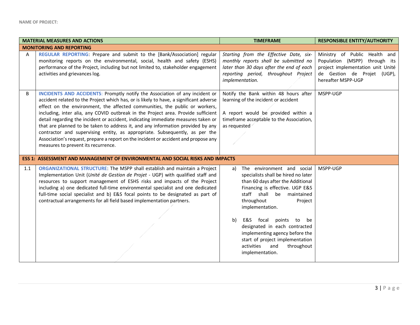| <b>MATERIAL MEASURES AND ACTIONS</b> |                                                                                                                                                                                                                                                                                                                                                                                                                                                                                                                                                                                                                                                                                                                                       | <b>TIMEFRAME</b>                                                                                                                                                                                                                                                                                                                                                                                                              | <b>RESPONSIBLE ENTITY/AUTHORITY</b>                                                                                                                      |  |  |
|--------------------------------------|---------------------------------------------------------------------------------------------------------------------------------------------------------------------------------------------------------------------------------------------------------------------------------------------------------------------------------------------------------------------------------------------------------------------------------------------------------------------------------------------------------------------------------------------------------------------------------------------------------------------------------------------------------------------------------------------------------------------------------------|-------------------------------------------------------------------------------------------------------------------------------------------------------------------------------------------------------------------------------------------------------------------------------------------------------------------------------------------------------------------------------------------------------------------------------|----------------------------------------------------------------------------------------------------------------------------------------------------------|--|--|
|                                      | <b>MONITORING AND REPORTING</b>                                                                                                                                                                                                                                                                                                                                                                                                                                                                                                                                                                                                                                                                                                       |                                                                                                                                                                                                                                                                                                                                                                                                                               |                                                                                                                                                          |  |  |
| A                                    | REGULAR REPORTING: Prepare and submit to the [Bank/Association] regular<br>monitoring reports on the environmental, social, health and safety (ESHS)<br>performance of the Project, including but not limited to, stakeholder engagement<br>activities and grievances log.                                                                                                                                                                                                                                                                                                                                                                                                                                                            | Starting from the Effective Date, six-<br>monthly reports shall be submitted no<br>later than 30 days after the end of each<br>reporting period, throughout Project<br>implementation.                                                                                                                                                                                                                                        | Ministry of Public Health and<br>Population (MSPP) through its<br>project implementation unit Unité<br>de Gestion de Projet (UGP),<br>hereafter MSPP-UGP |  |  |
| B                                    | <b>INCIDENTS AND ACCIDENTS: Promptly notify the Association of any incident or</b><br>accident related to the Project which has, or is likely to have, a significant adverse<br>effect on the environment, the affected communities, the public or workers,<br>including, inter alia, any COVID outbreak in the Project area. Provide sufficient<br>detail regarding the incident or accident, indicating immediate measures taken or<br>that are planned to be taken to address it, and any information provided by any<br>contractor and supervising entity, as appropriate. Subsequently, as per the<br>Association's request, prepare a report on the incident or accident and propose any<br>measures to prevent its recurrence. | Notify the Bank within 48 hours after<br>learning of the incident or accident<br>A report would be provided within a<br>timeframe acceptable to the Association,<br>as requested                                                                                                                                                                                                                                              | MSPP-UGP                                                                                                                                                 |  |  |
|                                      | <b>ESS 1: ASSESSMENT AND MANAGEMENT OF ENVIRONMENTAL AND SOCIAL RISKS AND IMPACTS</b>                                                                                                                                                                                                                                                                                                                                                                                                                                                                                                                                                                                                                                                 |                                                                                                                                                                                                                                                                                                                                                                                                                               |                                                                                                                                                          |  |  |
| 1.1                                  | ORGANIZATIONAL STRUCTURE: The MSPP shall establish and maintain a Project<br>Implementation Unit (Unité de Gestion de Projet - UGP) with qualified staff and<br>resources to support management of ESHS risks and impacts of the Project<br>including a) one dedicated full-time environmental specialist and one dedicated<br>full-time social specialist and b) E&S focal points to be designated as part of<br>contractual arrangements for all field based implementation partners.                                                                                                                                                                                                                                               | The environment and social<br>a)<br>specialists shall be hired no later<br>than 60 days after the Additional<br>Financing is effective. UGP E&S<br>staff shall<br>maintained<br>be<br>throughout<br>Project<br>implementation.<br>E&S focal<br>points to be<br>b)<br>designated in each contracted<br>implementing agency before the<br>start of project implementation<br>activities<br>and<br>throughout<br>implementation. | MSPP-UGP                                                                                                                                                 |  |  |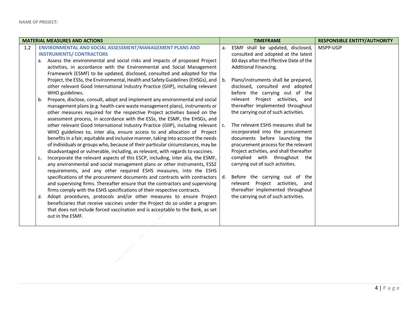| <b>MATERIAL MEASURES AND ACTIONS</b> |                                                                                                                                                          |                | <b>TIMEFRAME</b>                                                      | <b>RESPONSIBLE ENTITY/AUTHORITY</b> |
|--------------------------------------|----------------------------------------------------------------------------------------------------------------------------------------------------------|----------------|-----------------------------------------------------------------------|-------------------------------------|
| 1.2                                  | ENVIRONMENTAL AND SOCIAL ASSESSMENT/MANAGEMENT PLANS AND                                                                                                 | a.             | ESMF shall be updated, disclosed,                                     | MSPP-UGP                            |
|                                      | <b>INSTRUMENTS/CONTRACTORS</b>                                                                                                                           |                | consulted and adopted at the latest                                   |                                     |
|                                      | Assess the environmental and social risks and impacts of proposed Project<br>a.                                                                          |                | 60 days after the Effective Date of the                               |                                     |
|                                      | activities, in accordance with the Environmental and Social Management                                                                                   |                | Additional Financing.                                                 |                                     |
|                                      | Framework (ESMF) to be updated, disclosed, consulted and adopted for the                                                                                 |                |                                                                       |                                     |
|                                      | Project, the ESSs, the Environmental, Health and Safety Guidelines (EHSGs), and                                                                          | b <sub>1</sub> | Plans/instruments shall be prepared,                                  |                                     |
|                                      | other relevant Good International Industry Practice (GIIP), including relevant                                                                           |                | disclosed, consulted and adopted                                      |                                     |
|                                      | WHO guidelines.                                                                                                                                          |                | before the carrying out of the                                        |                                     |
|                                      | Prepare, disclose, consult, adopt and implement any environmental and social<br>b.                                                                       |                | relevant Project activities, and                                      |                                     |
|                                      | management plans (e.g. health-care waste management plans), instruments or                                                                               |                | thereafter implemented throughout                                     |                                     |
|                                      | other measures required for the respective Project activities based on the                                                                               |                | the carrying out of such activities.                                  |                                     |
|                                      | assessment process, in accordance with the ESSs, the ESMF, the EHSGs, and                                                                                |                |                                                                       |                                     |
|                                      | other relevant Good International Industry Practice (GIIP), including relevant                                                                           | $\mathsf{C}$ . | The relevant ESHS measures shall be                                   |                                     |
|                                      | WHO guidelines to, inter alia, ensure access to and allocation of Project                                                                                |                | incorporated into the procurement                                     |                                     |
|                                      | benefits in a fair, equitable and inclusive manner, taking into account the needs                                                                        |                | documents before launching the                                        |                                     |
|                                      | of individuals or groups who, because of their particular circumstances, may be                                                                          |                | procurement process for the relevant                                  |                                     |
|                                      | disadvantaged or vulnerable, including, as relevant, with regards to vaccines.                                                                           |                | Project activities, and shall thereafter                              |                                     |
|                                      | Incorporate the relevant aspects of this ESCP, including, inter alia, the ESMF,<br>c.                                                                    |                | complied with throughout the                                          |                                     |
|                                      | any environmental and social management plans or other instruments, ESS2                                                                                 |                | carrying out of such activities.                                      |                                     |
|                                      | requirements, and any other required ESHS measures, into the ESHS                                                                                        |                |                                                                       |                                     |
|                                      | specifications of the procurement documents and contracts with contractors                                                                               | d.             | Before the carrying out of the                                        |                                     |
|                                      | and supervising firms. Thereafter ensure that the contractors and supervising                                                                            |                | relevant Project activities, and<br>thereafter implemented throughout |                                     |
|                                      | firms comply with the ESHS specifications of their respective contracts.                                                                                 |                |                                                                       |                                     |
|                                      | Adopt procedures, protocols and/or other measures to ensure Project<br>d.<br>beneficiaries that receive vaccines under the Project do so under a program |                | the carrying out of such activities.                                  |                                     |
|                                      | that does not include forced vaccination and is acceptable to the Bank, as set                                                                           |                |                                                                       |                                     |
|                                      |                                                                                                                                                          |                |                                                                       |                                     |
|                                      | out in the ESMF.                                                                                                                                         |                |                                                                       |                                     |
|                                      |                                                                                                                                                          |                |                                                                       |                                     |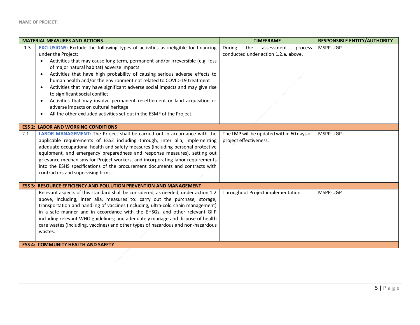| <b>MATERIAL MEASURES AND ACTIONS</b> |                                                                                                                                                                                                                                                                                                                                                                                                                                                                                                                                                                                                                                                                                                                                                                                        | <b>TIMEFRAME</b>                                                               | <b>RESPONSIBLE ENTITY/AUTHORITY</b> |
|--------------------------------------|----------------------------------------------------------------------------------------------------------------------------------------------------------------------------------------------------------------------------------------------------------------------------------------------------------------------------------------------------------------------------------------------------------------------------------------------------------------------------------------------------------------------------------------------------------------------------------------------------------------------------------------------------------------------------------------------------------------------------------------------------------------------------------------|--------------------------------------------------------------------------------|-------------------------------------|
| 1.3                                  | <b>EXCLUSIONS:</b> Exclude the following types of activities as ineligible for financing<br>under the Project:<br>Activities that may cause long term, permanent and/or irreversible (e.g. loss<br>$\bullet$<br>of major natural habitat) adverse impacts<br>Activities that have high probability of causing serious adverse effects to<br>$\bullet$<br>human health and/or the environment not related to COVID-19 treatment<br>Activities that may have significant adverse social impacts and may give rise<br>$\bullet$<br>to significant social conflict<br>Activities that may involve permanent resettlement or land acquisition or<br>$\bullet$<br>adverse impacts on cultural heritage<br>All the other excluded activities set out in the ESMF of the Project.<br>$\bullet$ | the<br>During<br>assessment<br>process<br>conducted under action 1.2.a. above. | MSPP-UGP                            |
|                                      | <b>ESS 2: LABOR AND WORKING CONDITIONS</b>                                                                                                                                                                                                                                                                                                                                                                                                                                                                                                                                                                                                                                                                                                                                             |                                                                                |                                     |
| 2.1                                  | LABOR MANAGEMENT: The Project shall be carried out in accordance with the<br>applicable requirements of ESS2 including through, inter alia, implementing<br>adequate occupational health and safety measures (including personal protective<br>equipment, and emergency preparedness and response measures), setting out<br>grievance mechanisms for Project workers, and incorporating labor requirements<br>into the ESHS specifications of the procurement documents and contracts with<br>contractors and supervising firms.                                                                                                                                                                                                                                                       | The LMP will be updated within 60 days of<br>project effectiveness.            | MSPP-UGP                            |
|                                      | <b>ESS 3: RESOURCE EFFICIENCY AND POLLUTION PREVENTION AND MANAGEMENT</b>                                                                                                                                                                                                                                                                                                                                                                                                                                                                                                                                                                                                                                                                                                              |                                                                                |                                     |
|                                      | Relevant aspects of this standard shall be considered, as needed, under action 1.2<br>above, including, inter alia, measures to: carry out the purchase, storage,<br>transportation and handling of vaccines (including, ultra-cold chain management)<br>in a safe manner and in accordance with the EHSGs, and other relevant GIIP<br>including relevant WHO guidelines; and adequately manage and dispose of health<br>care wastes (including, vaccines) and other types of hazardous and non-hazardous<br>wastes.                                                                                                                                                                                                                                                                   | Throughout Project implementation.                                             | MSPP-UGP                            |
|                                      | <b>ESS 4: COMMUNITY HEALTH AND SAFETY</b>                                                                                                                                                                                                                                                                                                                                                                                                                                                                                                                                                                                                                                                                                                                                              |                                                                                |                                     |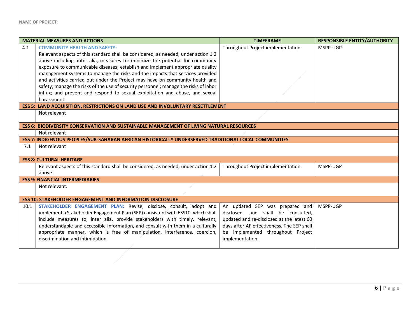| <b>MATERIAL MEASURES AND ACTIONS</b> |                                                                                                      | <b>TIMEFRAME</b>                           | <b>RESPONSIBLE ENTITY/AUTHORITY</b> |  |
|--------------------------------------|------------------------------------------------------------------------------------------------------|--------------------------------------------|-------------------------------------|--|
| 4.1                                  | <b>COMMUNITY HEALTH AND SAFETY:</b>                                                                  | Throughout Project implementation.         | MSPP-UGP                            |  |
|                                      | Relevant aspects of this standard shall be considered, as needed, under action 1.2                   |                                            |                                     |  |
|                                      | above including, inter alia, measures to: minimize the potential for community                       |                                            |                                     |  |
|                                      | exposure to communicable diseases; establish and implement appropriate quality                       |                                            |                                     |  |
|                                      | management systems to manage the risks and the impacts that services provided                        |                                            |                                     |  |
|                                      | and activities carried out under the Project may have on community health and                        |                                            |                                     |  |
|                                      | safety; manage the risks of the use of security personnel; manage the risks of labor                 |                                            |                                     |  |
|                                      | influx; and prevent and respond to sexual exploitation and abuse, and sexual                         |                                            |                                     |  |
|                                      | harassment.                                                                                          |                                            |                                     |  |
|                                      | <b>ESS 5: LAND ACQUISITION, RESTRICTIONS ON LAND USE AND INVOLUNTARY RESETTLEMENT</b>                |                                            |                                     |  |
|                                      | Not relevant                                                                                         |                                            |                                     |  |
|                                      |                                                                                                      |                                            |                                     |  |
|                                      | <b>ESS 6: BIODIVERSITY CONSERVATION AND SUSTAINABLE MANAGEMENT OF LIVING NATURAL RESOURCES</b>       |                                            |                                     |  |
|                                      | Not relevant                                                                                         |                                            |                                     |  |
|                                      | ESS 7: INDIGENOUS PEOPLES/SUB-SAHARAN AFRICAN HISTORICALLY UNDERSERVED TRADITIONAL LOCAL COMMUNITIES |                                            |                                     |  |
| 7.1                                  | Not relevant                                                                                         |                                            |                                     |  |
|                                      |                                                                                                      |                                            |                                     |  |
|                                      | <b>ESS 8: CULTURAL HERITAGE</b>                                                                      |                                            |                                     |  |
|                                      | Relevant aspects of this standard shall be considered, as needed, under action 1.2                   | Throughout Project implementation.         | MSPP-UGP                            |  |
|                                      | above.                                                                                               |                                            |                                     |  |
|                                      | <b>ESS 9: FINANCIAL INTERMEDIARIES</b>                                                               |                                            |                                     |  |
|                                      | Not relevant.                                                                                        |                                            |                                     |  |
|                                      |                                                                                                      |                                            |                                     |  |
|                                      | <b>ESS 10: STAKEHOLDER ENGAGEMENT AND INFORMATION DISCLOSURE</b>                                     |                                            |                                     |  |
| 10.1                                 | STAKEHOLDER ENGAGEMENT PLAN: Revise, disclose, consult, adopt and                                    | An updated SEP was prepared and            | MSPP-UGP                            |  |
|                                      | implement a Stakeholder Engagement Plan (SEP) consistent with ESS10, which shall                     | disclosed, and shall be consulted,         |                                     |  |
|                                      | include measures to, inter alia, provide stakeholders with timely, relevant,                         | updated and re-disclosed at the latest 60  |                                     |  |
|                                      | understandable and accessible information, and consult with them in a culturally                     | days after AF effectiveness. The SEP shall |                                     |  |
|                                      | appropriate manner, which is free of manipulation, interference, coercion,                           | be implemented throughout Project          |                                     |  |
|                                      | discrimination and intimidation.                                                                     | implementation.                            |                                     |  |
|                                      |                                                                                                      |                                            |                                     |  |